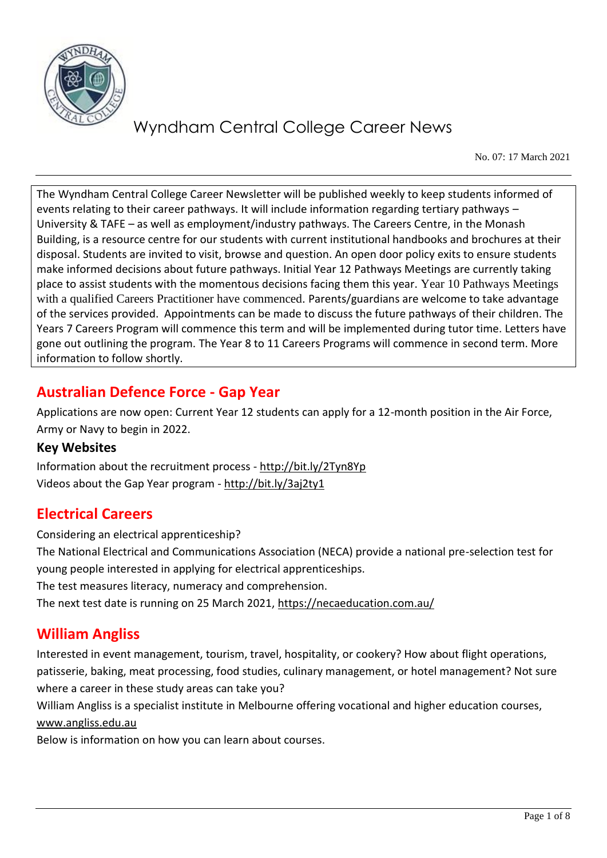

No. 07: 17 March 2021

The Wyndham Central College Career Newsletter will be published weekly to keep students informed of events relating to their career pathways. It will include information regarding tertiary pathways – University & TAFE – as well as employment/industry pathways. The Careers Centre, in the Monash Building, is a resource centre for our students with current institutional handbooks and brochures at their disposal. Students are invited to visit, browse and question. An open door policy exits to ensure students make informed decisions about future pathways. Initial Year 12 Pathways Meetings are currently taking place to assist students with the momentous decisions facing them this year. Year 10 Pathways Meetings with a qualified Careers Practitioner have commenced. Parents/guardians are welcome to take advantage of the services provided. Appointments can be made to discuss the future pathways of their children. The Years 7 Careers Program will commence this term and will be implemented during tutor time. Letters have gone out outlining the program. The Year 8 to 11 Careers Programs will commence in second term. More information to follow shortly.

# **Australian Defence Force - Gap Year**

Applications are now open: Current Year 12 students can apply for a 12-month position in the Air Force, Army or Navy to begin in 2022.

#### **Key Websites**

Information about the recruitment process - <http://bit.ly/2Tyn8Yp> Videos about the Gap Year program - <http://bit.ly/3aj2ty1>

## **Electrical Careers**

Considering an electrical apprenticeship?

The National Electrical and Communications Association (NECA) provide a national pre-selection test for young people interested in applying for electrical apprenticeships.

The test measures literacy, numeracy and comprehension.

The next test date is running on 25 March 2021,<https://necaeducation.com.au/>

## **William Angliss**

Interested in event management, tourism, travel, hospitality, or cookery? How about flight operations, patisserie, baking, meat processing, food studies, culinary management, or hotel management? Not sure where a career in these study areas can take you?

William Angliss is a specialist institute in Melbourne offering vocational and higher education courses, [www.angliss.edu.au](http://www.angliss.edu.au/)

Below is information on how you can learn about courses.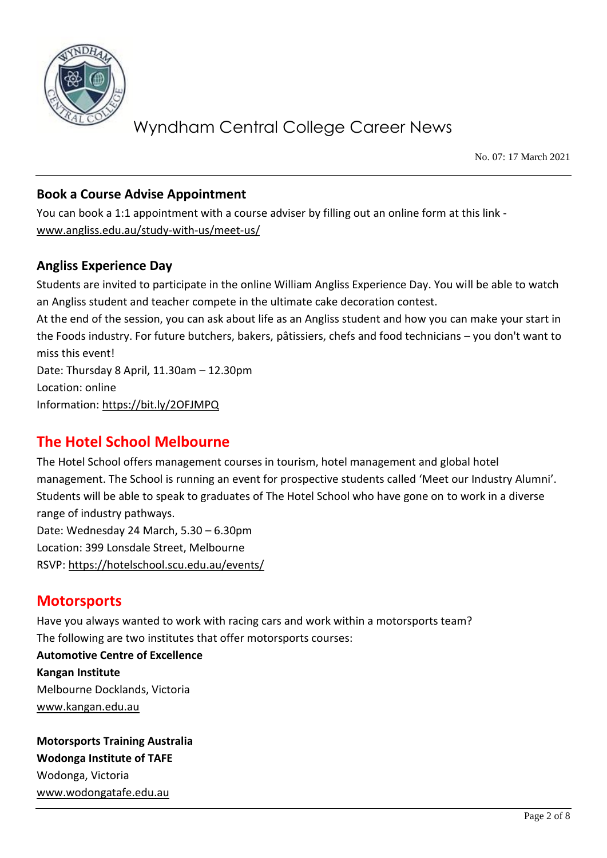

No. 07: 17 March 2021

#### **Book a Course Advise Appointment**

You can book a 1:1 appointment with a course adviser by filling out an online form at this link [www.angliss.edu.au/study-with-us/meet-us/](http://www.angliss.edu.au/study-with-us/meet-us/)

#### **Angliss Experience Day**

Students are invited to participate in the online William Angliss Experience Day. You will be able to watch an Angliss student and teacher compete in the ultimate cake decoration contest.

At the end of the session, you can ask about life as an Angliss student and how you can make your start in the Foods industry. For future butchers, bakers, pâtissiers, chefs and food technicians – you don't want to miss this event!

Date: Thursday 8 April, 11.30am – 12.30pm Location: online Information:<https://bit.ly/2OFJMPQ>

## **The Hotel School Melbourne**

The Hotel School offers management courses in tourism, hotel management and global hotel management. The School is running an event for prospective students called 'Meet our Industry Alumni'. Students will be able to speak to graduates of The Hotel School who have gone on to work in a diverse range of industry pathways.

Date: Wednesday 24 March, 5.30 – 6.30pm Location: 399 Lonsdale Street, Melbourne RSVP:<https://hotelschool.scu.edu.au/events/>

## **Motorsports**

Have you always wanted to work with racing cars and work within a motorsports team? The following are two institutes that offer motorsports courses: **Automotive Centre of Excellence Kangan Institute** Melbourne Docklands, Victoria [www.kangan.edu.au](http://www.kangan.edu.au/)

**Motorsports Training Australia Wodonga Institute of TAFE** Wodonga, Victoria [www.wodongatafe.edu.au](http://www.wodongatafe.edu.au/)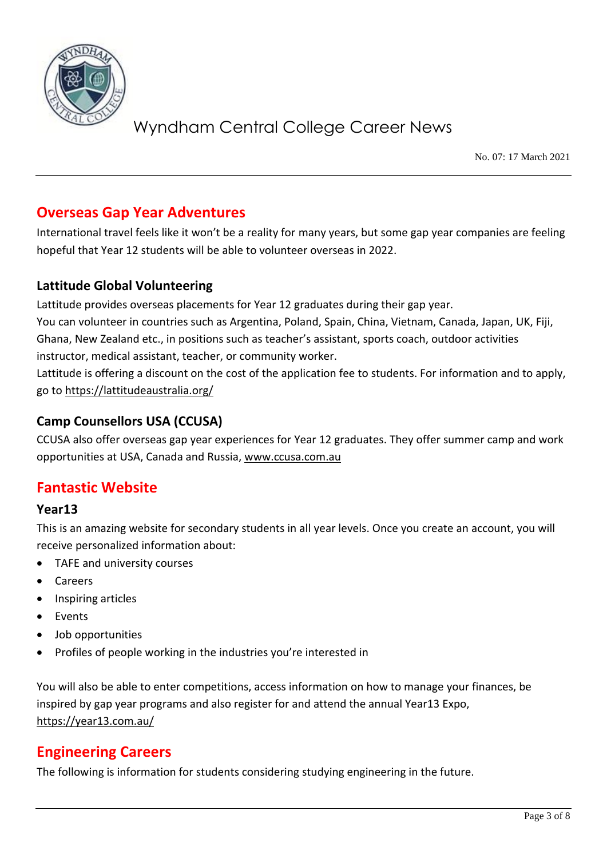

No. 07: 17 March 2021

## **Overseas Gap Year Adventures**

International travel feels like it won't be a reality for many years, but some gap year companies are feeling hopeful that Year 12 students will be able to volunteer overseas in 2022.

### **Lattitude Global Volunteering**

Lattitude provides overseas placements for Year 12 graduates during their gap year. You can volunteer in countries such as Argentina, Poland, Spain, China, Vietnam, Canada, Japan, UK, Fiji, Ghana, New Zealand etc., in positions such as teacher's assistant, sports coach, outdoor activities instructor, medical assistant, teacher, or community worker.

Lattitude is offering a discount on the cost of the application fee to students. For information and to apply, go to<https://lattitudeaustralia.org/>

#### **Camp Counsellors USA (CCUSA)**

CCUSA also offer overseas gap year experiences for Year 12 graduates. They offer summer camp and work opportunities at USA, Canada and Russia, [www.ccusa.com.au](http://www.ccusa.com.au/)

## **Fantastic Website**

#### **Year13**

This is an amazing website for secondary students in all year levels. Once you create an account, you will receive personalized information about:

- TAFE and university courses
- Careers
- Inspiring articles
- Events
- Job opportunities
- Profiles of people working in the industries you're interested in

You will also be able to enter competitions, access information on how to manage your finances, be inspired by gap year programs and also register for and attend the annual Year13 Expo, <https://year13.com.au/>

## **Engineering Careers**

The following is information for students considering studying engineering in the future.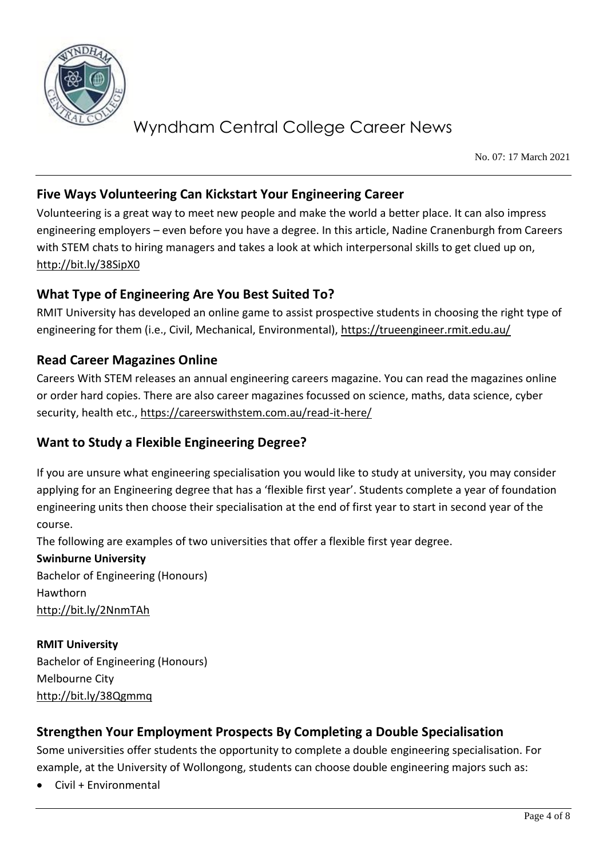

No. 07: 17 March 2021

### **Five Ways Volunteering Can Kickstart Your Engineering Career**

Volunteering is a great way to meet new people and make the world a better place. It can also impress engineering employers – even before you have a degree. In this article, Nadine Cranenburgh from Careers with STEM chats to hiring managers and takes a look at which interpersonal skills to get clued up on, <http://bit.ly/38SipX0>

### **What Type of Engineering Are You Best Suited To?**

RMIT University has developed an online game to assist prospective students in choosing the right type of engineering for them (i.e., Civil, Mechanical, Environmental),<https://trueengineer.rmit.edu.au/>

### **Read Career Magazines Online**

Careers With STEM releases an annual engineering careers magazine. You can read the magazines online or order hard copies. There are also career magazines focussed on science, maths, data science, cyber security, health etc.,<https://careerswithstem.com.au/read-it-here/>

### **Want to Study a Flexible Engineering Degree?**

If you are unsure what engineering specialisation you would like to study at university, you may consider applying for an Engineering degree that has a 'flexible first year'. Students complete a year of foundation engineering units then choose their specialisation at the end of first year to start in second year of the course.

The following are examples of two universities that offer a flexible first year degree.

**Swinburne University** Bachelor of Engineering (Honours) Hawthorn <http://bit.ly/2NnmTAh>

**RMIT University** Bachelor of Engineering (Honours) Melbourne City <http://bit.ly/38Qgmmq>

### **Strengthen Your Employment Prospects By Completing a Double Specialisation**

Some universities offer students the opportunity to complete a double engineering specialisation. For example, at the University of Wollongong, students can choose double engineering majors such as:

• Civil + Environmental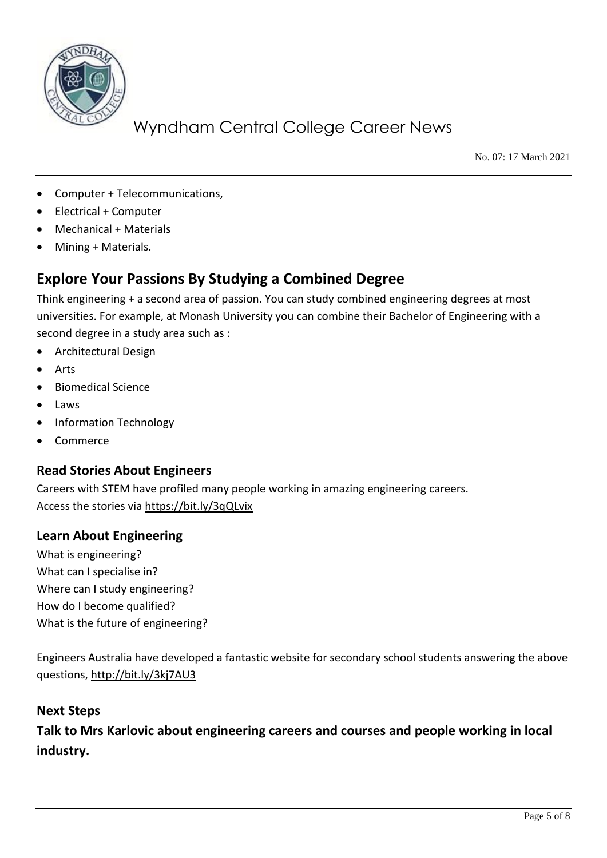

No. 07: 17 March 2021

- Computer + Telecommunications,
- Electrical + Computer
- Mechanical + Materials
- Mining + Materials.

## **Explore Your Passions By Studying a Combined Degree**

Think engineering + a second area of passion. You can study combined engineering degrees at most universities. For example, at Monash University you can combine their Bachelor of Engineering with a second degree in a study area such as :

- Architectural Design
- Arts
- Biomedical Science
- Laws
- Information Technology
- Commerce

#### **Read Stories About Engineers**

Careers with STEM have profiled many people working in amazing engineering careers. Access the stories via<https://bit.ly/3qQLvix>

#### **Learn About Engineering**

What is engineering? What can I specialise in? Where can I study engineering? How do I become qualified? What is the future of engineering?

Engineers Australia have developed a fantastic website for secondary school students answering the above questions,<http://bit.ly/3kj7AU3>

#### **Next Steps**

**Talk to Mrs Karlovic about engineering careers and courses and people working in local industry.**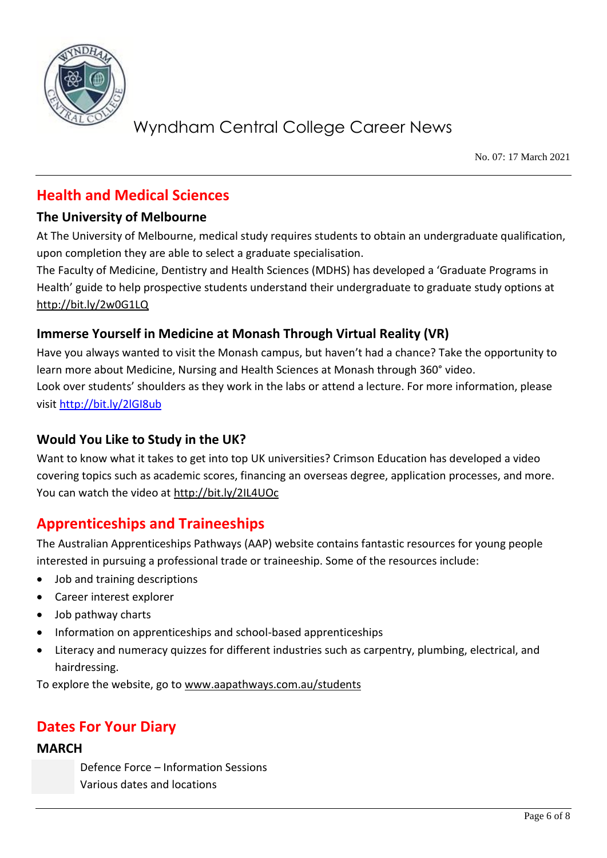

No. 07: 17 March 2021

# **Health and Medical Sciences**

### **The University of Melbourne**

At The University of Melbourne, medical study requires students to obtain an undergraduate qualification, upon completion they are able to select a graduate specialisation.

The Faculty of Medicine, Dentistry and Health Sciences (MDHS) has developed a 'Graduate Programs in Health' guide to help prospective students understand their undergraduate to graduate study options at <http://bit.ly/2w0G1LQ>

### **Immerse Yourself in Medicine at Monash Through Virtual Reality (VR)**

Have you always wanted to visit the Monash campus, but haven't had a chance? Take the opportunity to learn more about Medicine, Nursing and Health Sciences at Monash through 360° video. Look over students' shoulders as they work in the labs or attend a lecture. For more information, please visit<http://bit.ly/2lGI8ub>

### **Would You Like to Study in the UK?**

Want to know what it takes to get into top UK universities? Crimson Education has developed a video covering topics such as academic scores, financing an overseas degree, application processes, and more. You can watch the video at<http://bit.ly/2IL4UOc>

## **Apprenticeships and Traineeships**

The Australian Apprenticeships Pathways (AAP) website contains fantastic resources for young people interested in pursuing a professional trade or traineeship. Some of the resources include:

- Job and training descriptions
- Career interest explorer
- Job pathway charts
- Information on apprenticeships and school-based apprenticeships
- Literacy and numeracy quizzes for different industries such as carpentry, plumbing, electrical, and hairdressing.

To explore the website, go to [www.aapathways.com.au/students](http://www.aapathways.com.au/students)

## **Dates For Your Diary**

#### **MARCH**

Defence Force – Information Sessions Various dates and locations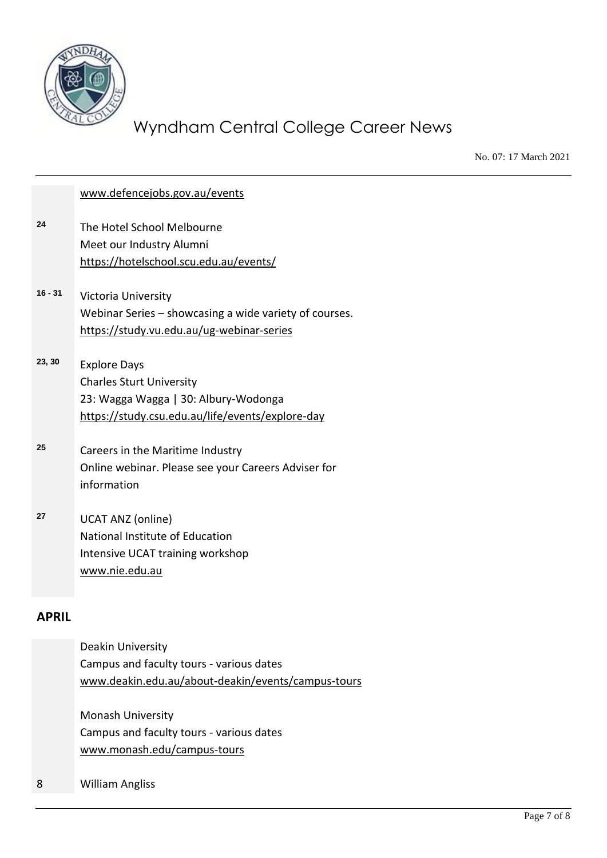

No. 07: 17 March 2021

|           | www.defencejobs.gov.au/events                                                                                                                      |
|-----------|----------------------------------------------------------------------------------------------------------------------------------------------------|
| 24        | The Hotel School Melbourne<br>Meet our Industry Alumni<br>https://hotelschool.scu.edu.au/events/                                                   |
| $16 - 31$ | Victoria University<br>Webinar Series – showcasing a wide variety of courses.<br>https://study.vu.edu.au/ug-webinar-series                         |
| 23, 30    | <b>Explore Days</b><br><b>Charles Sturt University</b><br>23: Wagga Wagga   30: Albury-Wodonga<br>https://study.csu.edu.au/life/events/explore-day |
| 25        | Careers in the Maritime Industry<br>Online webinar. Please see your Careers Adviser for<br>information                                             |
| 27        | <b>UCAT ANZ (online)</b><br>National Institute of Education<br>Intensive UCAT training workshop<br>www.nie.edu.au                                  |
|           |                                                                                                                                                    |

#### **APRIL**

| Deakin University                                  |
|----------------------------------------------------|
| Campus and faculty tours - various dates           |
| www.deakin.edu.au/about-deakin/events/campus-tours |
|                                                    |

Monash University Campus and faculty tours - various dates [www.monash.edu/campus-tours](http://www.monash.edu/campus-tours)

8 William Angliss